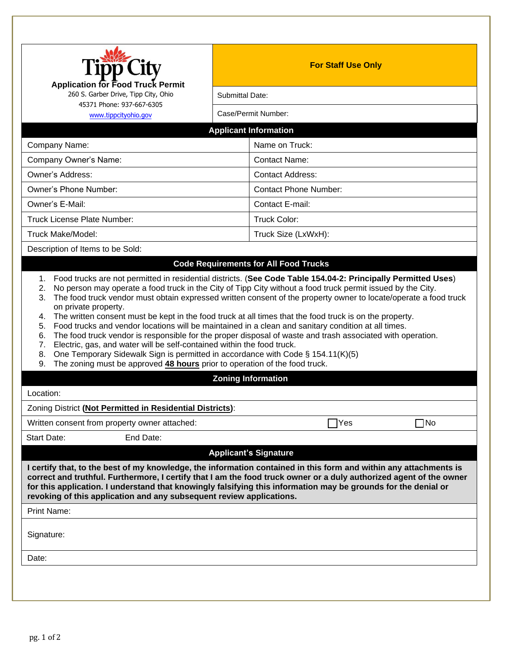| <b>Application for Food Truck Permit</b><br>260 S. Garber Drive, Tipp City, Ohio<br>45371 Phone: 937-667-6305<br>www.tippcityohio.gov                                        | <b>For Staff Use Only</b>                                                                                                                                                                                                                                                                                                          |  |
|------------------------------------------------------------------------------------------------------------------------------------------------------------------------------|------------------------------------------------------------------------------------------------------------------------------------------------------------------------------------------------------------------------------------------------------------------------------------------------------------------------------------|--|
|                                                                                                                                                                              | Submittal Date:                                                                                                                                                                                                                                                                                                                    |  |
|                                                                                                                                                                              | Case/Permit Number:                                                                                                                                                                                                                                                                                                                |  |
|                                                                                                                                                                              | <b>Applicant Information</b>                                                                                                                                                                                                                                                                                                       |  |
| Company Name:                                                                                                                                                                | Name on Truck:                                                                                                                                                                                                                                                                                                                     |  |
| Company Owner's Name:                                                                                                                                                        | <b>Contact Name:</b>                                                                                                                                                                                                                                                                                                               |  |
| Owner's Address:                                                                                                                                                             | <b>Contact Address:</b>                                                                                                                                                                                                                                                                                                            |  |
| Owner's Phone Number:                                                                                                                                                        | <b>Contact Phone Number:</b>                                                                                                                                                                                                                                                                                                       |  |
| Owner's E-Mail:                                                                                                                                                              | Contact E-mail:                                                                                                                                                                                                                                                                                                                    |  |
| <b>Truck License Plate Number:</b>                                                                                                                                           | Truck Color:                                                                                                                                                                                                                                                                                                                       |  |
| Truck Make/Model:                                                                                                                                                            | Truck Size (LxWxH):                                                                                                                                                                                                                                                                                                                |  |
| Description of Items to be Sold:                                                                                                                                             |                                                                                                                                                                                                                                                                                                                                    |  |
| on private property.<br>4.<br>5.                                                                                                                                             | The food truck vendor must obtain expressed written consent of the property owner to locate/operate a food truck<br>The written consent must be kept in the food truck at all times that the food truck is on the property.<br>Food trucks and vendor locations will be maintained in a clean and sanitary condition at all times. |  |
| 6.<br>Electric, gas, and water will be self-contained within the food truck.<br>7.<br>8.<br>The zoning must be approved 48 hours prior to operation of the food truck.<br>9. | The food truck vendor is responsible for the proper disposal of waste and trash associated with operation.<br>One Temporary Sidewalk Sign is permitted in accordance with Code § 154.11(K)(5)<br><b>Zoning Information</b>                                                                                                         |  |
|                                                                                                                                                                              |                                                                                                                                                                                                                                                                                                                                    |  |
|                                                                                                                                                                              |                                                                                                                                                                                                                                                                                                                                    |  |
|                                                                                                                                                                              | Yes<br>$\square$ No                                                                                                                                                                                                                                                                                                                |  |
| Location:<br>Zoning District (Not Permitted in Residential Districts):<br>Written consent from property owner attached:<br>Start Date:<br>End Date:                          |                                                                                                                                                                                                                                                                                                                                    |  |
|                                                                                                                                                                              | <b>Applicant's Signature</b><br>I certify that, to the best of my knowledge, the information contained in this form and within any attachments is<br>for this application. I understand that knowingly falsifying this information may be grounds for the denial or                                                                |  |
| revoking of this application and any subsequent review applications.<br><b>Print Name:</b><br>Signature:<br>Date:                                                            | correct and truthful. Furthermore, I certify that I am the food truck owner or a duly authorized agent of the owner                                                                                                                                                                                                                |  |